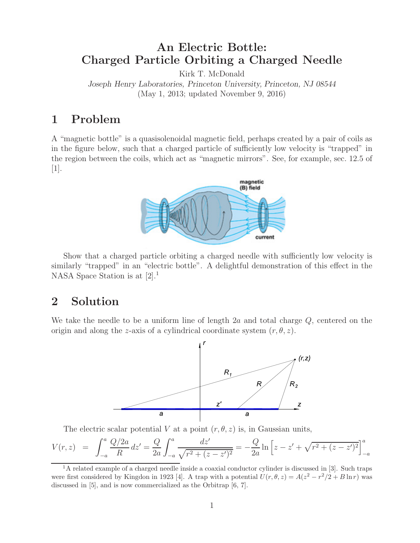# **An Electric Bottle: Charged Particle Orbiting a Charged Needle**

Kirk T. McDonald

*Joseph Henry Laboratories, Princeton University, Princeton, NJ 08544* (May 1, 2013; updated November 9, 2016)

## **1 Problem**

A "magnetic bottle" is a quasisolenoidal magnetic field, perhaps created by a pair of coils as in the figure below, such that a charged particle of sufficiently low velocity is "trapped" in the region between the coils, which act as "magnetic mirrors". See, for example, sec. 12.5 of [1].



Show that a charged particle orbiting a charged needle with sufficiently low velocity is similarly "trapped" in an "electric bottle". A delightful demonstration of this effect in the NASA Space Station is at [2].<sup>1</sup>

## **2 Solution**

We take the needle to be a uniform line of length  $2a$  and total charge  $Q$ , centered on the origin and along the z-axis of a cylindrical coordinate system  $(r, \theta, z)$ .



The electric scalar potential V at a point  $(r, \theta, z)$  is, in Gaussian units,

$$
V(r,z) = \int_{-a}^{a} \frac{Q/2a}{R} dz' = \frac{Q}{2a} \int_{-a}^{a} \frac{dz'}{\sqrt{r^2 + (z - z')^2}} = -\frac{Q}{2a} \ln \left[ z - z' + \sqrt{r^2 + (z - z')^2} \right]_{-a}^{a}
$$

<sup>&</sup>lt;sup>1</sup>A related example of a charged needle inside a coaxial conductor cylinder is discussed in [3]. Such traps were first considered by Kingdon in 1923 [4]. A trap with a potential  $U(r, \theta, z) = A(z^2 - r^2/2 + B \ln r)$  was discussed in [5], and is now commercialized as the Orbitrap [6, 7].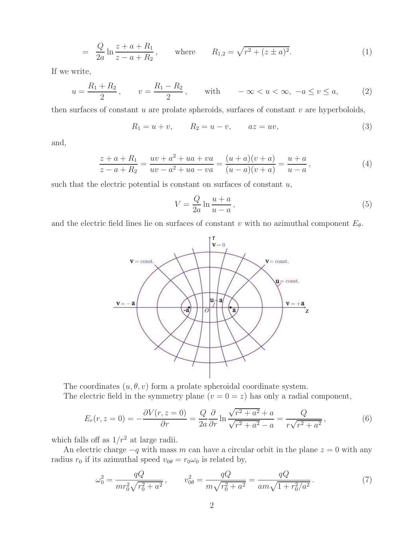$$
= \frac{Q}{2a} \ln \frac{z+a+R_1}{z-a+R_2}, \quad \text{where} \quad R_{1,2} = \sqrt{r^2 + (z \pm a)^2}.
$$
 (1)

If we write,

$$
u = \frac{R_1 + R_2}{2}
$$
,  $v = \frac{R_1 - R_2}{2}$ , with  $-\infty < u < \infty$ ,  $-a \le v \le a$ , (2)

then surfaces of constant  $u$  are prolate spheroids, surfaces of constant  $v$  are hyperboloids,

$$
R_1 = u + v
$$
,  $R_2 = u - v$ ,  $az = uv$ , (3)

and,

$$
\frac{z+a+R_1}{z-a+R_2} = \frac{uv+a^2+ua+va}{uv-a^2+ua-va} = \frac{(u+a)(v+a)}{(u-a)(v+a)} = \frac{u+a}{u-a},
$$
\n(4)

such that the electric potential is constant on surfaces of constant  $u$ ,

$$
V = \frac{Q}{2a} \ln \frac{u+a}{u-a},\tag{5}
$$

and the electric field lines lie on surfaces of constant v with no azimuthal component  $E_{\theta}$ .



The coordinates  $(u, \theta, v)$  form a prolate spheroidal coordinate system. The electric field in the symmetry plane  $(v = 0 = z)$  has only a radial component,

$$
E_r(r, z = 0) = -\frac{\partial V(r, z = 0)}{\partial r} = \frac{Q}{2a} \frac{\partial}{\partial r} \ln \frac{\sqrt{r^2 + a^2} + a}{\sqrt{r^2 + a^2} - a} = \frac{Q}{r\sqrt{r^2 + a^2}},
$$
(6)

which falls off as  $1/r^2$  at large radii.

An electric charge  $-q$  with mass m can have a circular orbit in the plane  $z = 0$  with any radius  $r_0$  if its azimuthal speed  $v_{0\theta} = r_0 \omega_0$  is related by,

$$
\omega_0^2 = \frac{qQ}{mr_0^2\sqrt{r_0^2 + a^2}}, \qquad v_{0\theta}^2 = \frac{qQ}{m\sqrt{r_0^2 + a^2}} = \frac{qQ}{am\sqrt{1 + r_0^2/a^2}}.
$$
(7)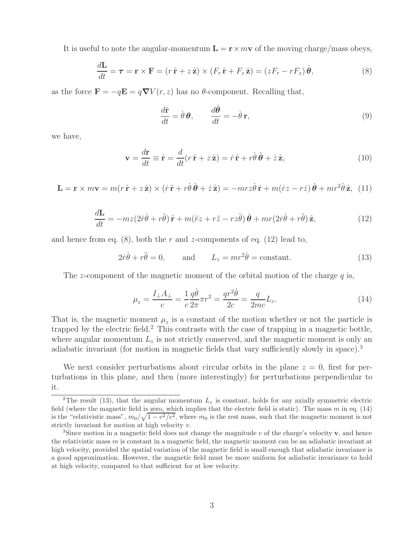It is useful to note the angular-momentum  $\mathbf{L} = \mathbf{r} \times m\mathbf{v}$  of the moving charge/mass obeys,

$$
\frac{d\mathbf{L}}{dt} = \boldsymbol{\tau} = \mathbf{r} \times \mathbf{F} = (r\,\hat{\mathbf{r}} + z\,\hat{\mathbf{z}}) \times (F_r\,\hat{\mathbf{r}} + F_z\,\hat{\mathbf{z}}) = (zF_r - rF_z)\,\hat{\boldsymbol{\theta}},\tag{8}
$$

as the force  $\mathbf{F} = -q\mathbf{E} = q\nabla V(r, z)$  has no  $\theta$ -component. Recalling that,

$$
\frac{d\hat{\mathbf{r}}}{dt} = \dot{\theta}\,\boldsymbol{\theta}, \qquad \frac{d\hat{\boldsymbol{\theta}}}{dt} = -\dot{\theta}\,\mathbf{r}, \tag{9}
$$

we have,

$$
\mathbf{v} = \frac{d\mathbf{r}}{dt} \equiv \dot{\mathbf{r}} = \frac{d}{dt}(r\,\hat{\mathbf{r}} + z\,\hat{\mathbf{z}}) = \dot{r}\,\hat{\mathbf{r}} + r\dot{\theta}\,\hat{\boldsymbol{\theta}} + \dot{z}\,\hat{\mathbf{z}},\tag{10}
$$

$$
\mathbf{L} = \mathbf{r} \times m\mathbf{v} = m(r\,\hat{\mathbf{r}} + z\,\hat{\mathbf{z}}) \times (\dot{r}\,\hat{\mathbf{r}} + r\dot{\theta}\,\hat{\boldsymbol{\theta}} + \dot{z}\,\hat{\mathbf{z}}) = -mrz\dot{\theta}\,\hat{\mathbf{r}} + m(\dot{r}z - r\dot{z})\,\hat{\boldsymbol{\theta}} + mr^2\dot{\theta}\,\hat{\mathbf{z}}, \tag{11}
$$

$$
\frac{d\mathbf{L}}{dt} = -mz(2\dot{r}\dot{\theta} + r\ddot{\theta})\hat{\mathbf{r}} + m(\ddot{r}z + r\ddot{z} - rz\ddot{\theta})\hat{\boldsymbol{\theta}} + mr(2\dot{r}\dot{\theta} + r\ddot{\theta})\hat{\mathbf{z}},\tag{12}
$$

and hence from eq.  $(8)$ , both the r and z-components of eq.  $(12)$  lead to,

$$
2\dot{r}\dot{\theta} + r\ddot{\theta} = 0, \qquad \text{and} \qquad L_z = mr^2\dot{\theta} = \text{constant.} \tag{13}
$$

The z-component of the magnetic moment of the orbital motion of the charge q is,

$$
\mu_z = \frac{I_{\perp}A_{\perp}}{c} = \frac{1}{c}\frac{q\dot{\theta}}{2\pi}\pi r^2 = \frac{qr^2\dot{\theta}}{2c} = \frac{q}{2mc}L_z.
$$
\n(14)

That is, the magnetic moment  $\mu_z$  is a constant of the motion whether or not the particle is trapped by the electric field.<sup>2</sup> This contrasts with the case of trapping in a magnetic bottle, where angular momentum  $L_z$  is not strictly conserved, and the magnetic moment is only an adiabatic invariant (for motion in magnetic fields that vary sufficiently slowly in space).<sup>3</sup>

We next consider perturbations about circular orbits in the plane  $z = 0$ , first for perturbations in this plane, and then (more interestingly) for perturbations perpendicular to it.

<sup>&</sup>lt;sup>2</sup>The result (13), that the angular momentum  $L_z$  is constant, holds for any axially symmetric electric field (where the magnetic field is zero, which implies that the electric field is static). The mass  $m$  in eq. (14) is the "relativistic mass",  $m_0/\sqrt{1-v^2/c^2}$ , where  $m_0$  is the rest mass, such that the magnetic moment is not strictly invariant for motion at high velocity v.

<sup>&</sup>lt;sup>3</sup>Since motion in a magnetic field does not change the magnitude  $v$  of the charge's velocity  $\bf{v}$ , and hence the relativistic mass  $m$  is constant in a magnetic field, the magnetic moment can be an adiabatic invariant at high velocity, provided the spatial variation of the magnetic field is small enough that adiabatic invariance is a good approximation. However, the magnetic field must be more uniform for adiabatic invariance to hold at high velocity, compared to that sufficient for at low velocity.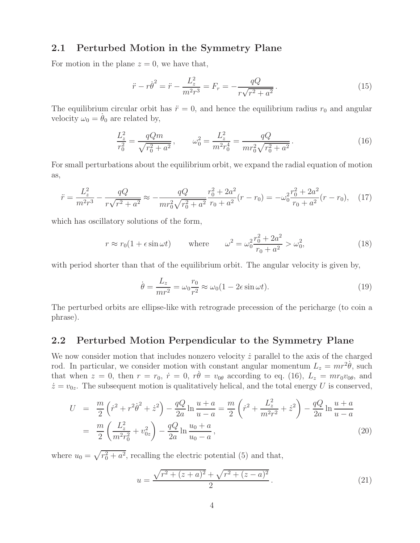### **2.1 Perturbed Motion in the Symmetry Plane**

For motion in the plane  $z = 0$ , we have that,

$$
\ddot{r} - r\dot{\theta}^2 = \ddot{r} - \frac{L_z^2}{m^2 r^3} = F_r = -\frac{qQ}{r\sqrt{r^2 + a^2}}.
$$
\n(15)

The equilibrium circular orbit has  $\ddot{r} = 0$ , and hence the equilibrium radius  $r_0$  and angular velocity  $\omega_0 = \dot{\theta}_0$  are related by,

$$
\frac{L_z^2}{r_0^2} = \frac{qQm}{\sqrt{r_0^2 + a^2}}, \qquad \omega_0^2 = \frac{L_z^2}{m^2 r_0^4} = \frac{qQ}{mr_0^2 \sqrt{r_0^2 + a^2}}.
$$
\n(16)

For small perturbations about the equilibrium orbit, we expand the radial equation of motion as,

$$
\ddot{r} = \frac{L_z^2}{m^2 r^3} - \frac{qQ}{r\sqrt{r^2 + a^2}} \approx -\frac{qQ}{mr_0^2 \sqrt{r_0^2 + a^2}} \frac{r_0^2 + 2a^2}{r_0 + a^2} (r - r_0) = -\omega_0^2 \frac{r_0^2 + 2a^2}{r_0 + a^2} (r - r_0), \quad (17)
$$

which has oscillatory solutions of the form,

$$
r \approx r_0(1 + \epsilon \sin \omega t) \qquad \text{where} \qquad \omega^2 = \omega_0^2 \frac{r_0^2 + 2a^2}{r_0 + a^2} > \omega_0^2,\tag{18}
$$

with period shorter than that of the equilibrium orbit. The angular velocity is given by,

$$
\dot{\theta} = \frac{L_z}{mr^2} = \omega_0 \frac{r_0}{r^2} \approx \omega_0 (1 - 2\epsilon \sin \omega t). \tag{19}
$$

The perturbed orbits are ellipse-like with retrograde precession of the pericharge (to coin a phrase).

#### **2.2 Perturbed Motion Perpendicular to the Symmetry Plane**

We now consider motion that includes nonzero velocity  $\dot{z}$  parallel to the axis of the charged rod. In particular, we consider motion with constant angular momentum  $L_z = mr^2\dot{\theta}$ , such that when  $z = 0$ , then  $r = r_0$ ,  $\dot{r} = 0$ ,  $r\dot{\theta} = v_{0\theta}$  according to eq. (16),  $L_z = mr_0v_{0\theta}$ , and  $\dot{z} = v_{0z}$ . The subsequent motion is qualitatively helical, and the total energy U is conserved,

$$
U = \frac{m}{2} \left( \dot{r}^2 + r^2 \dot{\theta}^2 + \dot{z}^2 \right) - \frac{qQ}{2a} \ln \frac{u+a}{u-a} = \frac{m}{2} \left( \dot{r}^2 + \frac{L_z^2}{m^2 r^2} + \dot{z}^2 \right) - \frac{qQ}{2a} \ln \frac{u+a}{u-a}
$$
  
= 
$$
\frac{m}{2} \left( \frac{L_z^2}{m^2 r_0^2} + v_{0z}^2 \right) - \frac{qQ}{2a} \ln \frac{u_0+a}{u_0-a},
$$
 (20)

where  $u_0 = \sqrt{r_0^2 + a^2}$ , recalling the electric potential (5) and that,

$$
u = \frac{\sqrt{r^2 + (z+a)^2} + \sqrt{r^2 + (z-a)^2}}{2}.
$$
 (21)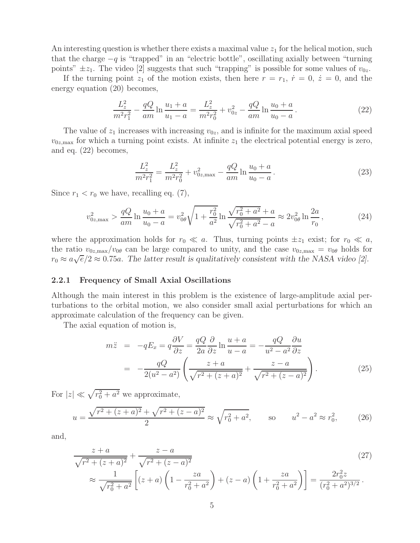An interesting question is whether there exists a maximal value  $z<sub>1</sub>$  for the helical motion, such that the charge  $-q$  is "trapped" in an "electric bottle", oscillating axially between "turning" points"  $\pm z_1$ . The video [2] suggests that such "trapping" is possible for some values of  $v_{0z}$ .

If the turning point  $z_1$  of the motion exists, then here  $r = r_1$ ,  $\dot{r} = 0$ ,  $\dot{z} = 0$ , and the energy equation (20) becomes,

$$
\frac{L_z^2}{m^2 r_1^2} - \frac{qQ}{am} \ln \frac{u_1 + a}{u_1 - a} = \frac{L_z^2}{m^2 r_0^2} + v_{0z}^2 - \frac{qQ}{am} \ln \frac{u_0 + a}{u_0 - a}.
$$
 (22)

The value of  $z_1$  increases with increasing  $v_{0z}$ , and is infinite for the maximum axial speed  $v_{0z,\text{max}}$  for which a turning point exists. At infinite  $z_1$  the electrical potential energy is zero, and eq. (22) becomes,

$$
\frac{L_z^2}{m^2 r_1^2} = \frac{L_z^2}{m^2 r_0^2} + v_{0z, \text{max}}^2 - \frac{qQ}{am} \ln \frac{u_0 + a}{u_0 - a}.
$$
\n(23)

Since  $r_1 < r_0$  we have, recalling eq. (7),

$$
v_{0z,\text{max}}^2 > \frac{qQ}{am} \ln \frac{u_0 + a}{u_0 - a} = v_{0\theta}^2 \sqrt{1 + \frac{r_0^2}{a^2}} \ln \frac{\sqrt{r_0^2 + a^2} + a}{\sqrt{r_0^2 + a^2} - a} \approx 2v_{0\theta}^2 \ln \frac{2a}{r_0},\tag{24}
$$

where the approximation holds for  $r_0 \ll a$ . Thus, turning points  $\pm z_1$  exist; for  $r_0 \ll a$ , the ratio  $v_{0z,\text{max}}/v_{0\theta}$  can be large compared to unity, and the case  $v_{0z,\text{max}} = v_{0\theta}$  holds for  $r_0 \approx a\sqrt{\epsilon}/2 \approx 0.75a$ . The latter result is qualitatively consistent with the NASA video [2].

#### **2.2.1 Frequency of Small Axial Oscillations**

Although the main interest in this problem is the existence of large-amplitude axial perturbations to the orbital motion, we also consider small axial perturbations for which an approximate calculation of the frequency can be given.

The axial equation of motion is,

$$
m\ddot{z} = -qE_x = q\frac{\partial V}{\partial z} = \frac{qQ}{2a}\frac{\partial}{\partial z}\ln\frac{u+a}{u-a} = -\frac{qQ}{u^2 - a^2}\frac{\partial u}{\partial z}
$$

$$
= -\frac{qQ}{2(u^2 - a^2)}\left(\frac{z+a}{\sqrt{r^2 + (z+a)^2}} + \frac{z-a}{\sqrt{r^2 + (z-a)^2}}\right). \tag{25}
$$

For  $|z| \ll \sqrt{r_0^2 + a^2}$  we approximate,

$$
u = \frac{\sqrt{r^2 + (z+a)^2} + \sqrt{r^2 + (z-a)^2}}{2} \approx \sqrt{r_0^2 + a^2}, \qquad \text{so} \qquad u^2 - a^2 \approx r_0^2,\tag{26}
$$

and,

$$
\frac{z+a}{\sqrt{r^2 + (z+a)^2}} + \frac{z-a}{\sqrt{r^2 + (z-a)^2}}
$$
\n
$$
\approx \frac{1}{\sqrt{r_0^2 + a^2}} \left[ (z+a) \left( 1 - \frac{za}{r_0^2 + a^2} \right) + (z-a) \left( 1 + \frac{za}{r_0^2 + a^2} \right) \right] = \frac{2r_0^2 z}{(r_0^2 + a^2)^{3/2}}.
$$
\n(27)